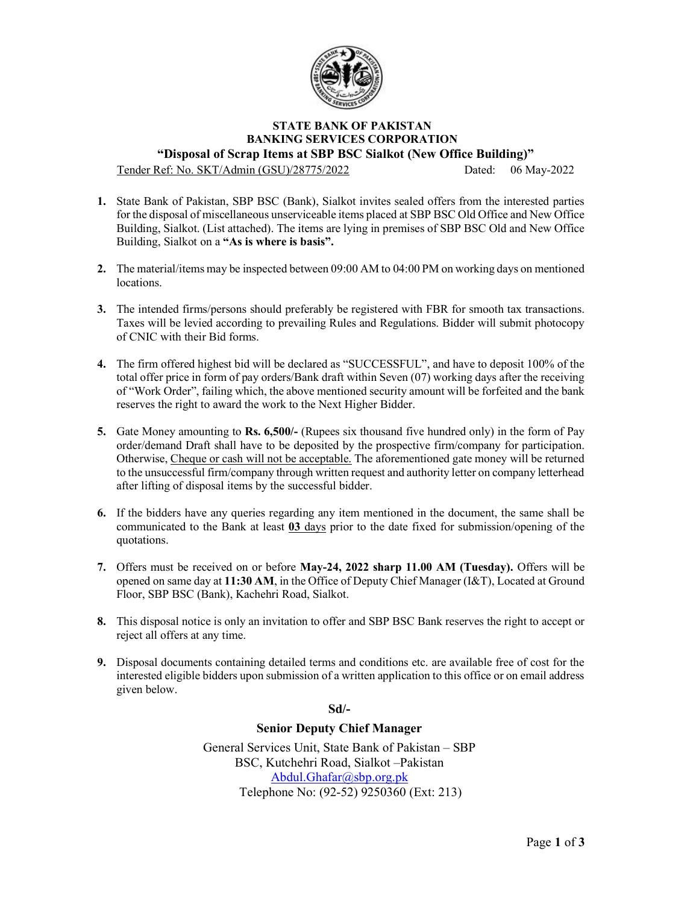

## STATE BANK OF PAKISTAN BANKING SERVICES CORPORATION "Disposal of Scrap Items at SBP BSC Sialkot (New Office Building)"

Tender Ref: No. SKT/Admin (GSU)/28775/2022 Dated: 06 May-2022

- 1. State Bank of Pakistan, SBP BSC (Bank), Sialkot invites sealed offers from the interested parties for the disposal of miscellaneous unserviceable items placed at SBP BSC Old Office and New Office Building, Sialkot. (List attached). The items are lying in premises of SBP BSC Old and New Office Building, Sialkot on a "As is where is basis".
- 2. The material/items may be inspected between 09:00 AM to 04:00 PM on working days on mentioned locations.
- 3. The intended firms/persons should preferably be registered with FBR for smooth tax transactions. Taxes will be levied according to prevailing Rules and Regulations. Bidder will submit photocopy of CNIC with their Bid forms.
- 4. The firm offered highest bid will be declared as "SUCCESSFUL", and have to deposit 100% of the total offer price in form of pay orders/Bank draft within Seven (07) working days after the receiving of "Work Order", failing which, the above mentioned security amount will be forfeited and the bank reserves the right to award the work to the Next Higher Bidder.
- 5. Gate Money amounting to Rs. 6,500/- (Rupees six thousand five hundred only) in the form of Pay order/demand Draft shall have to be deposited by the prospective firm/company for participation. Otherwise, Cheque or cash will not be acceptable. The aforementioned gate money will be returned to the unsuccessful firm/company through written request and authority letter on company letterhead after lifting of disposal items by the successful bidder.
- 6. If the bidders have any queries regarding any item mentioned in the document, the same shall be communicated to the Bank at least 03 days prior to the date fixed for submission/opening of the quotations.
- 7. Offers must be received on or before May-24, 2022 sharp 11.00 AM (Tuesday). Offers will be opened on same day at 11:30 AM, in the Office of Deputy Chief Manager (I&T), Located at Ground Floor, SBP BSC (Bank), Kachehri Road, Sialkot.
- 8. This disposal notice is only an invitation to offer and SBP BSC Bank reserves the right to accept or reject all offers at any time.
- 9. Disposal documents containing detailed terms and conditions etc. are available free of cost for the interested eligible bidders upon submission of a written application to this office or on email address given below.

Sd/-

## Senior Deputy Chief Manager

General Services Unit, State Bank of Pakistan – SBP BSC, Kutchehri Road, Sialkot –Pakistan Abdul.Ghafar@sbp.org.pk Telephone No: (92-52) 9250360 (Ext: 213)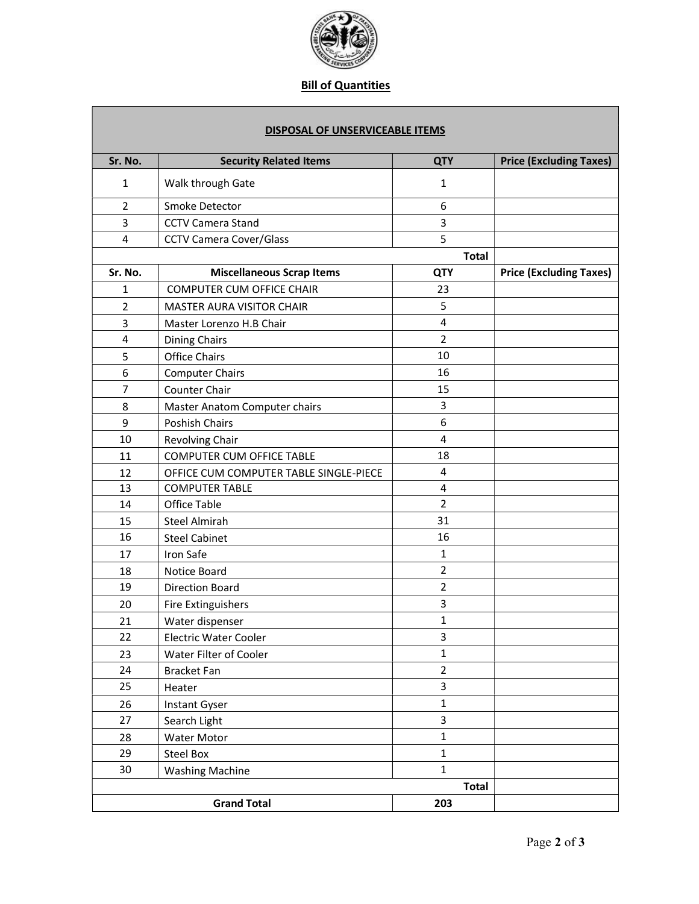

## Bill of Quantities

| DISPOSAL OF UNSERVICEABLE ITEMS |                                        |                |                                |
|---------------------------------|----------------------------------------|----------------|--------------------------------|
| Sr. No.                         | <b>Security Related Items</b>          | <b>QTY</b>     | <b>Price (Excluding Taxes)</b> |
| $\mathbf{1}$                    | Walk through Gate                      | 1              |                                |
| $\overline{2}$                  | Smoke Detector                         | 6              |                                |
| 3                               | <b>CCTV Camera Stand</b>               | 3              |                                |
| 4                               | <b>CCTV Camera Cover/Glass</b>         | 5              |                                |
| <b>Total</b>                    |                                        |                |                                |
| Sr. No.                         | <b>Miscellaneous Scrap Items</b>       | <b>QTY</b>     | <b>Price (Excluding Taxes)</b> |
| $\mathbf{1}$                    | <b>COMPUTER CUM OFFICE CHAIR</b>       | 23             |                                |
| $\overline{2}$                  | MASTER AURA VISITOR CHAIR              | 5              |                                |
| 3                               | Master Lorenzo H.B Chair               | 4              |                                |
| 4                               | <b>Dining Chairs</b>                   | $\overline{2}$ |                                |
| 5                               | <b>Office Chairs</b>                   | 10             |                                |
| 6                               | <b>Computer Chairs</b>                 | 16             |                                |
| 7                               | Counter Chair                          | 15             |                                |
| 8                               | Master Anatom Computer chairs          | 3              |                                |
| 9                               | Poshish Chairs                         | 6              |                                |
| 10                              | Revolving Chair                        | 4              |                                |
| 11                              | <b>COMPUTER CUM OFFICE TABLE</b>       | 18             |                                |
| 12                              | OFFICE CUM COMPUTER TABLE SINGLE-PIECE | 4              |                                |
| 13                              | <b>COMPUTER TABLE</b>                  | $\overline{4}$ |                                |
| 14                              | Office Table                           | $\overline{2}$ |                                |
| 15                              | <b>Steel Almirah</b>                   | 31             |                                |
| 16                              | <b>Steel Cabinet</b>                   | 16             |                                |
| 17                              | Iron Safe                              | $\mathbf{1}$   |                                |
| 18                              | Notice Board                           | $\overline{2}$ |                                |
| 19                              | <b>Direction Board</b>                 | $\overline{2}$ |                                |
| 20                              | <b>Fire Extinguishers</b>              | 3              |                                |
| 21                              | Water dispenser                        | 1              |                                |
| 22                              | Electric Water Cooler                  | 3              |                                |
| 23                              | Water Filter of Cooler                 | 1              |                                |
| 24                              | <b>Bracket Fan</b>                     | $\overline{2}$ |                                |
| 25                              | Heater                                 | 3              |                                |
| 26                              | Instant Gyser                          | $\mathbf{1}$   |                                |
| 27                              | Search Light                           | 3              |                                |
| 28                              | Water Motor                            | $\mathbf{1}$   |                                |
| 29                              | <b>Steel Box</b>                       | $\mathbf{1}$   |                                |
| 30                              | <b>Washing Machine</b>                 | 1              |                                |
|                                 |                                        | <b>Total</b>   |                                |
|                                 |                                        |                |                                |